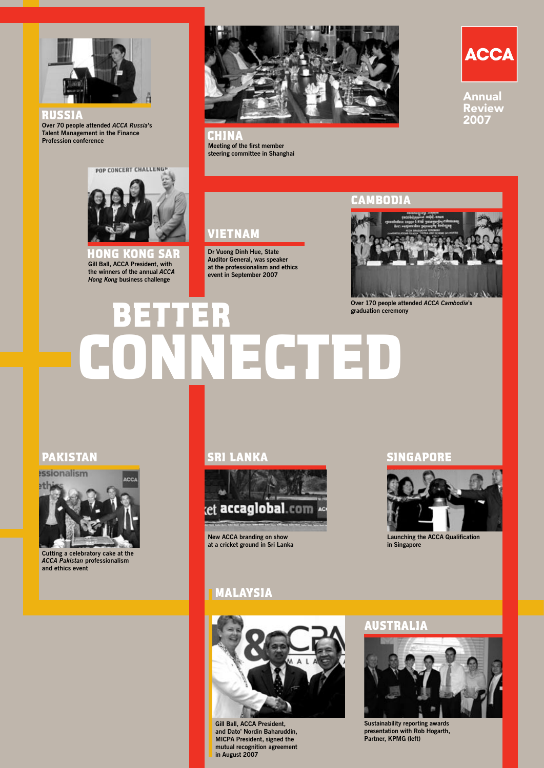

**Over 70 people attended** *ACCA Russia***'s Talent Management in the Finance Profession conference**  RUSSIA



**Meeting of the first member**  CHINA **steering committee in Shanghai** 



Annual Review 2007



**Gill Ball, ACCA President, with the winners of the annual** *ACCA Hong Kong* **business challenge G KONG SAR** 



**Dr Vuong Dinh Hue, State Auditor General, was speaker at the professionalism and ethics event in September 2007** 

# CAMBOD



**Over 170 people attended** *ACCA Cambodia***'s** 

# **graduation ceremony**  BETTER CONNECTED

# PAKISTAN



**Cutting a celebratory cake at the**  *ACCA Pakistan* **professionalism and ethics event**

# SRI LANKA



**New ACCA branding on show at a cricket ground in Sri Lanka**

# MALAYSIA



**Gill Ball, ACCA President, and Dato' Nordin Baharuddin, MICPA President, signed the mutual recognition agreement in August 2007**

# SINGAPORE



**Launching the ACCA Qualification in Singapore**

# AUSTRALIA



**Sustainability reporting awards presentation with Rob Hogarth, Partner, KPMG (left)**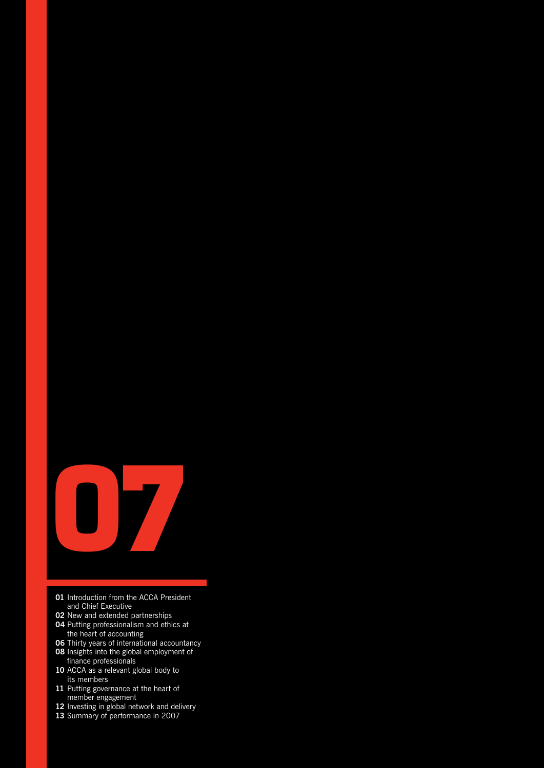

- Introduction from the ACCA President and Chief Executive
- New and extended partnerships
- Putting professionalism and ethics at the heart of accounting
- Thirty years of international accountancy
- Insights into the global employment of
- finance professionals ACCA as a relevant global body to
- its members Putting governance at the heart of
- member engagement
- Investing in global network and delivery
- Summary of performance in 2007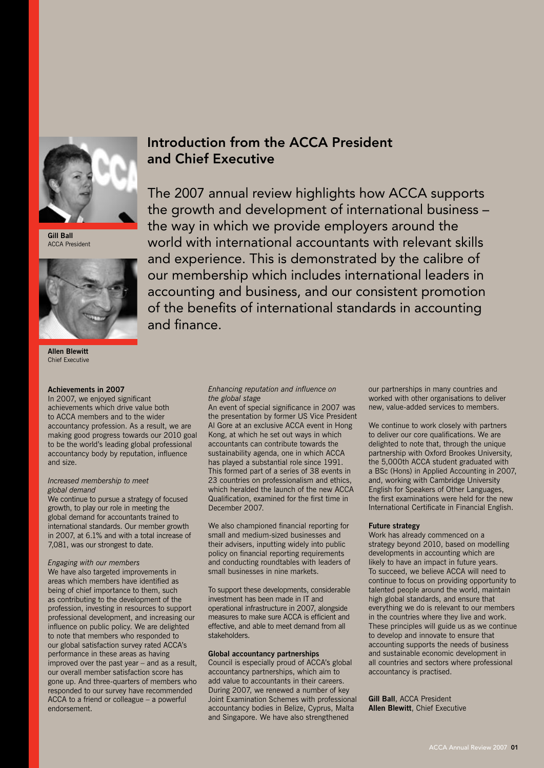

**Gill Ball** ACCA President



**Allen Blewitt** Chief Executive

### **Achievements in 2007**

In 2007, we enjoyed significant achievements which drive value both to ACCA members and to the wider accountancy profession. As a result, we are making good progress towards our 2010 goal to be the world's leading global professional accountancy body by reputation, influence and size.

### *Increased membership to meet global demand*

We continue to pursue a strategy of focused growth, to play our role in meeting the global demand for accountants trained to international standards. Our member growth in 2007, at 6.1% and with a total increase of 7,081, was our strongest to date.

### *Engaging with our members*

We have also targeted improvements in areas which members have identified as being of chief importance to them, such as contributing to the development of the profession, investing in resources to support professional development, and increasing our influence on public policy. We are delighted to note that members who responded to our global satisfaction survey rated ACCA's performance in these areas as having improved over the past year – and as a result, our overall member satisfaction score has gone up. And three-quarters of members who responded to our survey have recommended ACCA to a friend or colleague – a powerful endorsement.

# Introduction from the ACCA President and Chief Executive

The 2007 annual review highlights how ACCA supports the growth and development of international business – the way in which we provide employers around the world with international accountants with relevant skills and experience. This is demonstrated by the calibre of our membership which includes international leaders in accounting and business, and our consistent promotion of the benefits of international standards in accounting and finance.

### *Enhancing reputation and influence on the global stage*

An event of special significance in 2007 was the presentation by former US Vice President Al Gore at an exclusive ACCA event in Hong Kong, at which he set out ways in which accountants can contribute towards the sustainability agenda, one in which ACCA has played a substantial role since 1991. This formed part of a series of 38 events in 23 countries on professionalism and ethics, which heralded the launch of the new ACCA Qualification, examined for the first time in December 2007.

We also championed financial reporting for small and medium-sized businesses and their advisers, inputting widely into public policy on financial reporting requirements and conducting roundtables with leaders of small businesses in nine markets.

To support these developments, considerable investment has been made in IT and operational infrastructure in 2007, alongside measures to make sure ACCA is efficient and effective, and able to meet demand from all stakeholders.

### **Global accountancy partnerships**

Council is especially proud of ACCA's global accountancy partnerships, which aim to add value to accountants in their careers. During 2007, we renewed a number of key Joint Examination Schemes with professional accountancy bodies in Belize, Cyprus, Malta and Singapore. We have also strengthened

our partnerships in many countries and worked with other organisations to deliver new, value-added services to members.

We continue to work closely with partners to deliver our core qualifications. We are delighted to note that, through the unique partnership with Oxford Brookes University, the 5,000th ACCA student graduated with a BSc (Hons) in Applied Accounting in 2007, and, working with Cambridge University English for Speakers of Other Languages, the first examinations were held for the new International Certificate in Financial English.

### **Future strategy**

Work has already commenced on a strategy beyond 2010, based on modelling developments in accounting which are likely to have an impact in future years. To succeed, we believe ACCA will need to continue to focus on providing opportunity to talented people around the world, maintain high global standards, and ensure that everything we do is relevant to our members in the countries where they live and work. These principles will guide us as we continue to develop and innovate to ensure that accounting supports the needs of business and sustainable economic development in all countries and sectors where professional accountancy is practised.

**Gill Ball**, ACCA President **Allen Blewitt**, Chief Executive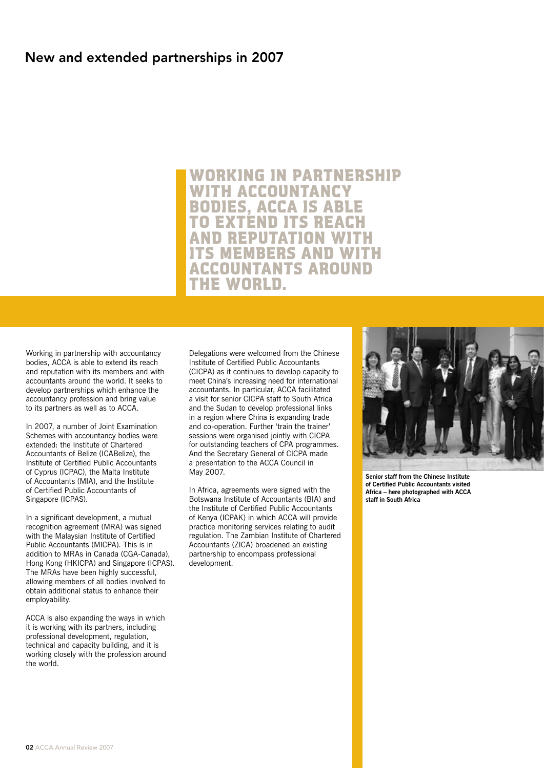# New and extended partnerships in 2007

WORKING IN PARTNERSHIP WITH ACCOUNTANCY BODIES, ACCA IS ABLE TO EXTÉND ITS REAC **D REPUTATION W MEMBERS AND W** ACCOUNTANTS AROUND THE WORLD.

Working in partnership with accountancy bodies, ACCA is able to extend its reach and reputation with its members and with accountants around the world. It seeks to develop partnerships which enhance the accountancy profession and bring value to its partners as well as to ACCA.

In 2007, a number of Joint Examination Schemes with accountancy bodies were extended: the Institute of Chartered Accountants of Belize (ICABelize), the Institute of Certified Public Accountants of Cyprus (ICPAC), the Malta Institute of Accountants (MIA), and the Institute of Certified Public Accountants of Singapore (ICPAS).

In a significant development, a mutual recognition agreement (MRA) was signed with the Malaysian Institute of Certified Public Accountants (MICPA). This is in addition to MRAs in Canada (CGA-Canada), Hong Kong (HKICPA) and Singapore (ICPAS). The MRAs have been highly successful, allowing members of all bodies involved to obtain additional status to enhance their employability.

ACCA is also expanding the ways in which it is working with its partners, including professional development, regulation, technical and capacity building, and it is working closely with the profession around the world.

Delegations were welcomed from the Chinese Institute of Certified Public Accountants (CICPA) as it continues to develop capacity to meet China's increasing need for international accountants. In particular, ACCA facilitated a visit for senior CICPA staff to South Africa and the Sudan to develop professional links in a region where China is expanding trade and co-operation. Further 'train the trainer' sessions were organised jointly with CICPA for outstanding teachers of CPA programmes. And the Secretary General of CICPA made a presentation to the ACCA Council in May 2007.

In Africa, agreements were signed with the Botswana Institute of Accountants (BIA) and the Institute of Certified Public Accountants of Kenya (ICPAK) in which ACCA will provide practice monitoring services relating to audit regulation. The Zambian Institute of Chartered Accountants (ZICA) broadened an existing partnership to encompass professional development.



**Senior staff from the Chinese Institute of Certified Public Accountants visited Africa – here photographed with ACCA staff in South Africa**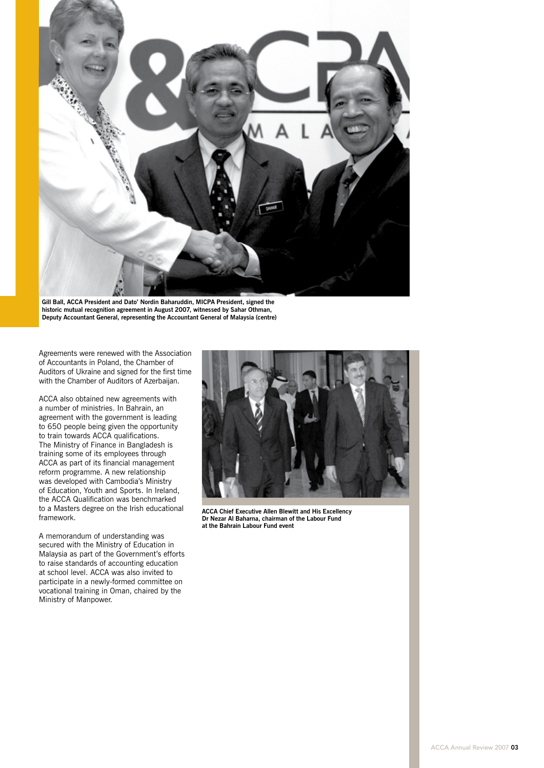

**Gill Ball, ACCA President and Dato' Nordin Baharuddin, MICPA President, signed the historic mutual recognition agreement in August 2007, witnessed by Sahar Othman, Deputy Accountant General, representing the Accountant General of Malaysia (centre)**

Agreements were renewed with the Association of Accountants in Poland, the Chamber of Auditors of Ukraine and signed for the first time with the Chamber of Auditors of Azerbaijan.

ACCA also obtained new agreements with a number of ministries. In Bahrain, an agreement with the government is leading to 650 people being given the opportunity to train towards ACCA qualifications. The Ministry of Finance in Bangladesh is training some of its employees through ACCA as part of its financial management reform programme. A new relationship was developed with Cambodia's Ministry of Education, Youth and Sports. In Ireland, the ACCA Qualification was benchmarked to a Masters degree on the Irish educational framework.

A memorandum of understanding was secured with the Ministry of Education in Malaysia as part of the Government's efforts to raise standards of accounting education at school level. ACCA was also invited to participate in a newly-formed committee on vocational training in Oman, chaired by the Ministry of Manpower.



**ACCA Chief Executive Allen Blewitt and His Excellency Dr Nezar Al Baharna, chairman of the Labour Fund at the Bahrain Labour Fund event**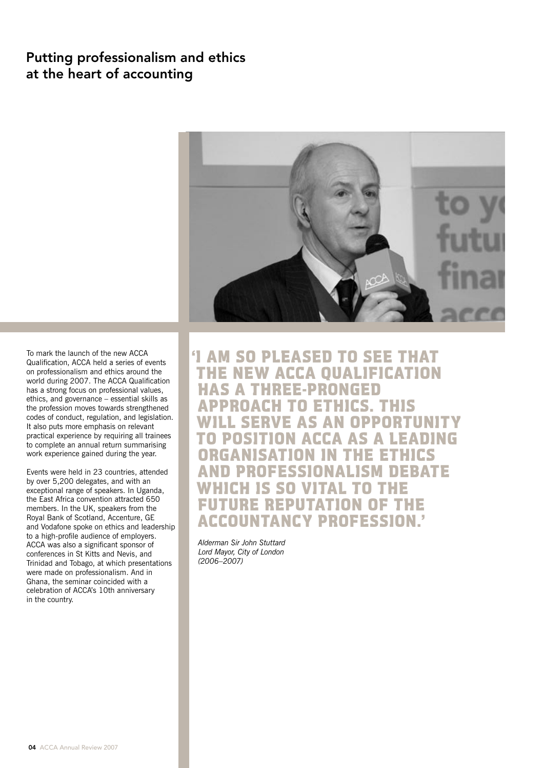# Putting professionalism and ethics at the heart of accounting



To mark the launch of the new ACCA Qualification, ACCA held a series of events on professionalism and ethics around the world during 2007. The ACCA Qualification has a strong focus on professional values, ethics, and governance – essential skills as the profession moves towards strengthened codes of conduct, regulation, and legislation. It also puts more emphasis on relevant practical experience by requiring all trainees to complete an annual return summarising work experience gained during the year.

Events were held in 23 countries, attended by over 5,200 delegates, and with an exceptional range of speakers. In Uganda, the East Africa convention attracted 650 members. In the UK, speakers from the Royal Bank of Scotland, Accenture, GE and Vodafone spoke on ethics and leadership to a high-profile audience of employers. ACCA was also a significant sponsor of conferences in St Kitts and Nevis, and Trinidad and Tobago, at which presentations were made on professionalism. And in Ghana, the seminar coincided with a celebration of ACCA's 10th anniversary in the country.

'I AM SO PLEASED TO SEE THAT THE NEW ACCA QUALIFICATION HAS A THREE-PRONGED APPROACH TO ETHICS. THIS WILL SERVE AS AN OPPORTUNITY POSITION ACCA AS A LEADING ORGANISATION IN THE ETHICS **PROFESSIONALISM DEBATE** CH IS SO VITAL TO FUTURE REPUTATION OF THE ACCOUNTANCY PROFESSION.'

 *Alderman Sir John Stuttard Lord Mayor, City of London (2006–2007)*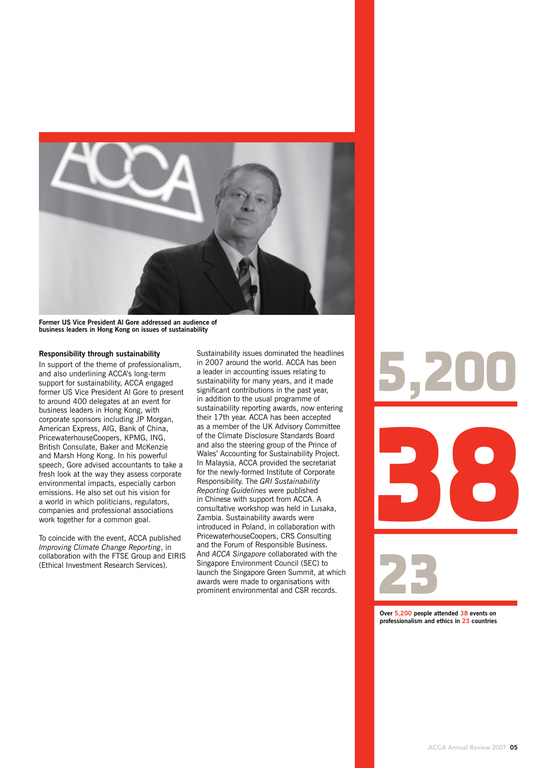

**Former US Vice President Al Gore addressed an audience of business leaders in Hong Kong on issues of sustainability**

### **Responsibility through sustainability**

In support of the theme of professionalism, and also underlining ACCA's long-term support for sustainability, ACCA engaged former US Vice President Al Gore to present to around 400 delegates at an event for business leaders in Hong Kong, with corporate sponsors including JP Morgan, American Express, AIG, Bank of China, PricewaterhouseCoopers, KPMG, ING, British Consulate, Baker and McKenzie and Marsh Hong Kong. In his powerful speech, Gore advised accountants to take a fresh look at the way they assess corporate environmental impacts, especially carbon emissions. He also set out his vision for a world in which politicians, regulators, companies and professional associations work together for a common goal.

To coincide with the event, ACCA published *Improving Climate Change Reporting*, in collaboration with the FTSE Group and EIRIS (Ethical Investment Research Services).

Sustainability issues dominated the headlines in 2007 around the world. ACCA has been a leader in accounting issues relating to sustainability for many years, and it made significant contributions in the past year, in addition to the usual programme of sustainability reporting awards, now entering their 17th year. ACCA has been accepted as a member of the UK Advisory Committee of the Climate Disclosure Standards Board and also the steering group of the Prince of Wales' Accounting for Sustainability Project. In Malaysia, ACCA provided the secretariat for the newly-formed Institute of Corporate Responsibility. The *GRI Sustainability Reporting Guidelines* were published in Chinese with support from ACCA. A consultative workshop was held in Lusaka, Zambia. Sustainability awards were introduced in Poland, in collaboration with PricewaterhouseCoopers, CRS Consulting and the Forum of Responsible Business. And *ACCA Singapore* collaborated with the Singapore Environment Council (SEC) to launch the Singapore Green Summit, at which awards were made to organisations with prominent environmental and CSR records.



**Over 5,200 people attended 38 events on professionalism and ethics in 23 countries**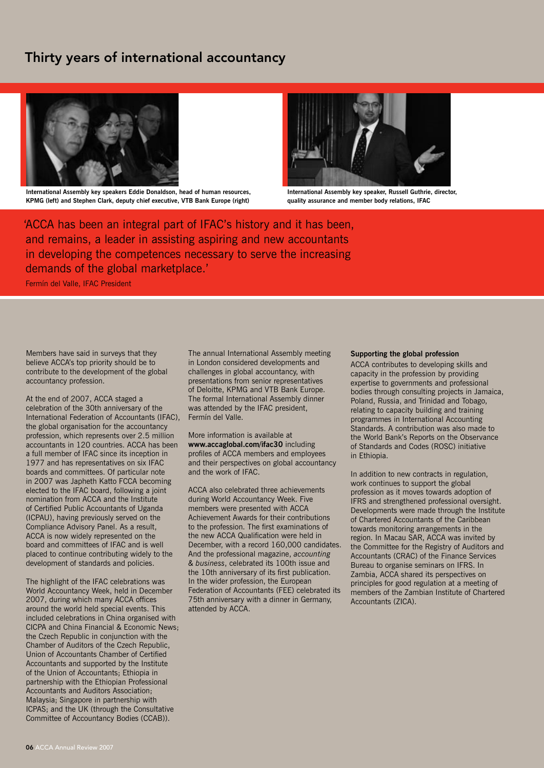# Thirty years of international accountancy



**International Assembly key speakers Eddie Donaldson, head of human resources, KPMG (left) and Stephen Clark, deputy chief executive, VTB Bank Europe (right)**



**International Assembly key speaker, Russell Guthrie, director, quality assurance and member body relations, IFAC**

'ACCA has been an integral part of IFAC's history and it has been, and remains, a leader in assisting aspiring and new accountants in developing the competences necessary to serve the increasing demands of the global marketplace.'

Fermín del Valle, IFAC President

Members have said in surveys that they believe ACCA's top priority should be to contribute to the development of the global accountancy profession.

At the end of 2007, ACCA staged a celebration of the 30th anniversary of the International Federation of Accountants (IFAC), the global organisation for the accountancy profession, which represents over 2.5 million accountants in 120 countries. ACCA has been a full member of IFAC since its inception in 1977 and has representatives on six IFAC boards and committees. Of particular note in 2007 was Japheth Katto FCCA becoming elected to the IFAC board, following a joint nomination from ACCA and the Institute of Certified Public Accountants of Uganda (ICPAU), having previously served on the Compliance Advisory Panel. As a result, ACCA is now widely represented on the board and committees of IFAC and is well placed to continue contributing widely to the development of standards and policies.

The highlight of the IFAC celebrations was World Accountancy Week, held in December 2007, during which many ACCA offices around the world held special events. This included celebrations in China organised with CICPA and China Financial & Economic News; the Czech Republic in conjunction with the Chamber of Auditors of the Czech Republic, Union of Accountants Chamber of Certified Accountants and supported by the Institute of the Union of Accountants; Ethiopia in partnership with the Ethiopian Professional Accountants and Auditors Association; Malaysia; Singapore in partnership with ICPAS; and the UK (through the Consultative Committee of Accountancy Bodies (CCAB)).

The annual International Assembly meeting in London considered developments and challenges in global accountancy, with presentations from senior representatives of Deloitte, KPMG and VTB Bank Europe. The formal International Assembly dinner was attended by the IFAC president, Fermín del Valle.

More information is available at **www.accaglobal.com/ifac30** including profiles of ACCA members and employees and their perspectives on global accountancy and the work of IFAC.

ACCA also celebrated three achievements during World Accountancy Week. Five members were presented with ACCA Achievement Awards for their contributions to the profession. The first examinations of the new ACCA Qualification were held in December, with a record 160,000 candidates. And the professional magazine, *accounting & business*, celebrated its 100th issue and the 10th anniversary of its first publication. In the wider profession, the European Federation of Accountants (FEE) celebrated its 75th anniversary with a dinner in Germany, attended by ACCA.

### **Supporting the global profession**

ACCA contributes to developing skills and capacity in the profession by providing expertise to governments and professional bodies through consulting projects in Jamaica, Poland, Russia, and Trinidad and Tobago, relating to capacity building and training programmes in International Accounting Standards. A contribution was also made to the World Bank's Reports on the Observance of Standards and Codes (ROSC) initiative in Ethiopia.

In addition to new contracts in regulation, work continues to support the global profession as it moves towards adoption of IFRS and strengthened professional oversight. Developments were made through the Institute of Chartered Accountants of the Caribbean towards monitoring arrangements in the region. In Macau SAR, ACCA was invited by the Committee for the Registry of Auditors and Accountants (CRAC) of the Finance Services Bureau to organise seminars on IFRS. In Zambia, ACCA shared its perspectives on principles for good regulation at a meeting of members of the Zambian Institute of Chartered Accountants (ZICA).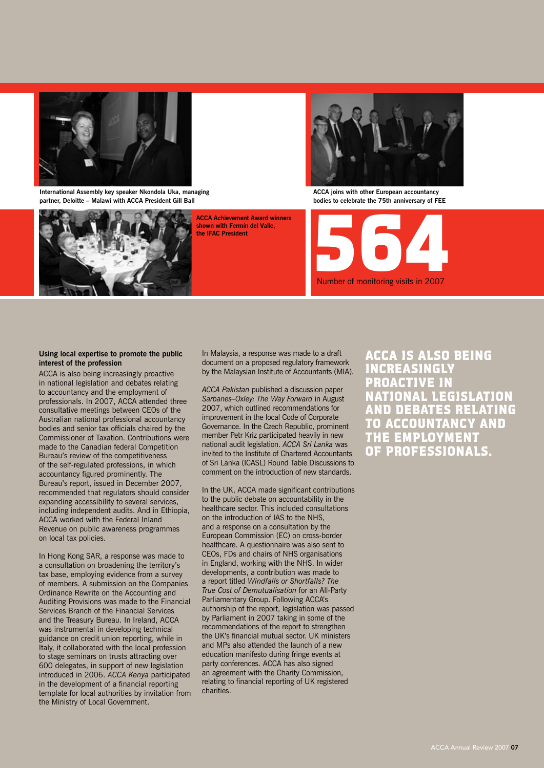

**International Assembly key speaker Nkondola Uka, managing partner, Deloitte – Malawi with ACCA President Gill Ball**



**ACCA Achievement Award winners shown with Fermín del Valle, the IFAC President**



**ACCA joins with other European accountancy bodies to celebrate the 75th anniversary of FEE**



### **Using local expertise to promote the public interest of the profession**

ACCA is also being increasingly proactive in national legislation and debates relating to accountancy and the employment of professionals. In 2007, ACCA attended three consultative meetings between CEOs of the Australian national professional accountancy bodies and senior tax officials chaired by the Commissioner of Taxation. Contributions were made to the Canadian federal Competition Bureau's review of the competitiveness of the self-regulated professions, in which accountancy figured prominently. The Bureau's report, issued in December 2007, recommended that regulators should consider expanding accessibility to several services, including independent audits. And in Ethiopia, ACCA worked with the Federal Inland Revenue on public awareness programmes on local tax policies.

In Hong Kong SAR, a response was made to a consultation on broadening the territory's tax base, employing evidence from a survey of members. A submission on the Companies Ordinance Rewrite on the Accounting and Auditing Provisions was made to the Financial Services Branch of the Financial Services and the Treasury Bureau. In Ireland, ACCA was instrumental in developing technical guidance on credit union reporting, while in Italy, it collaborated with the local profession to stage seminars on trusts attracting over 600 delegates, in support of new legislation introduced in 2006. *ACCA Kenya* participated in the development of a financial reporting template for local authorities by invitation from the Ministry of Local Government.

In Malaysia, a response was made to a draft document on a proposed regulatory framework by the Malaysian Institute of Accountants (MIA).

*ACCA Pakistan* published a discussion paper *Sarbanes–Oxley: The Way Forward* in August 2007, which outlined recommendations for improvement in the local Code of Corporate Governance. In the Czech Republic, prominent member Petr Kriz participated heavily in new national audit legislation. *ACCA Sri Lanka* was invited to the Institute of Chartered Accountants of Sri Lanka (ICASL) Round Table Discussions to comment on the introduction of new standards.

In the UK, ACCA made significant contributions to the public debate on accountability in the healthcare sector. This included consultations on the introduction of IAS to the NHS, and a response on a consultation by the European Commission (EC) on cross-border healthcare. A questionnaire was also sent to CEOs, FDs and chairs of NHS organisations in England, working with the NHS. In wider developments, a contribution was made to a report titled *Windfalls or Shortfalls? The True Cost of Demutualisation* for an All-Party Parliamentary Group. Following ACCA's authorship of the report, legislation was passed by Parliament in 2007 taking in some of the recommendations of the report to strengthen the UK's financial mutual sector. UK ministers and MPs also attended the launch of a new education manifesto during fringe events at party conferences. ACCA has also signed an agreement with the Charity Commission, relating to financial reporting of UK registered charities.

ACCA is also being increasingly proactive in national legislation and debates relating to accountancy and the employment of professionals.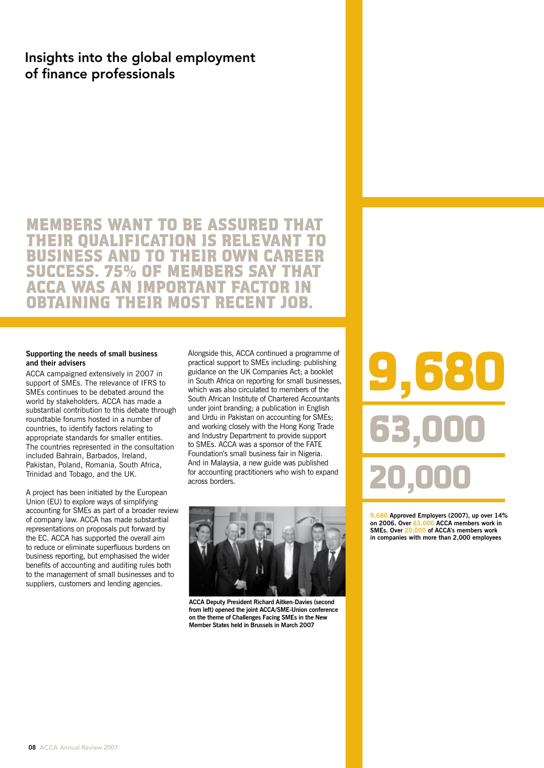# Insights into the global employment of finance professionals

MEMBERS WANT TO BE ASSURED THAT THEIR QUALIFICATION IS RELEVANT T BUSINESS AND TO THEIR OWN SUCCESS. 75% OF MEMBERS SAY THAT CA WAS AN IMPORTANT FACTOR IN OBTAINING THEIR MOST RECENT JOB.

### **Supporting the needs of small business and their advisers**

ACCA campaigned extensively in 2007 in support of SMEs. The relevance of IFRS to SMEs continues to be debated around the world by stakeholders. ACCA has made a substantial contribution to this debate through roundtable forums hosted in a number of countries, to identify factors relating to appropriate standards for smaller entities. The countries represented in the consultation included Bahrain, Barbados, Ireland, Pakistan, Poland, Romania, South Africa, Trinidad and Tobago, and the UK.

A project has been initiated by the European Union (EU) to explore ways of simplifying accounting for SMEs as part of a broader review of company law. ACCA has made substantial representations on proposals put forward by the EC. ACCA has supported the overall aim to reduce or eliminate superfluous burdens on business reporting, but emphasised the wider benefits of accounting and auditing rules both to the management of small businesses and to suppliers, customers and lending agencies.

Alongside this, ACCA continued a programme of practical support to SMEs including: publishing guidance on the UK Companies Act; a booklet in South Africa on reporting for small businesses, which was also circulated to members of the South African Institute of Chartered Accountants under joint branding; a publication in English and Urdu in Pakistan on accounting for SMEs; and working closely with the Hong Kong Trade and Industry Department to provide support to SMEs. ACCA was a sponsor of the FATE Foundation's small business fair in Nigeria. And in Malaysia, a new guide was published for accounting practitioners who wish to expand across borders.



**ACCA Deputy President Richard Aitken-Davies (second from left) opened the joint ACCA/SME-Union conference on the theme of Challenges Facing SMEs in the New Member States held in Brussels in March 2007** 

9,680 20,000 63,

**9,680 Approved Employers (2007), up over 14% on 2006. Over 63,000 ACCA members work in SMEs. Over 20,000 of ACCA's members work in companies with more than 2,000 employees**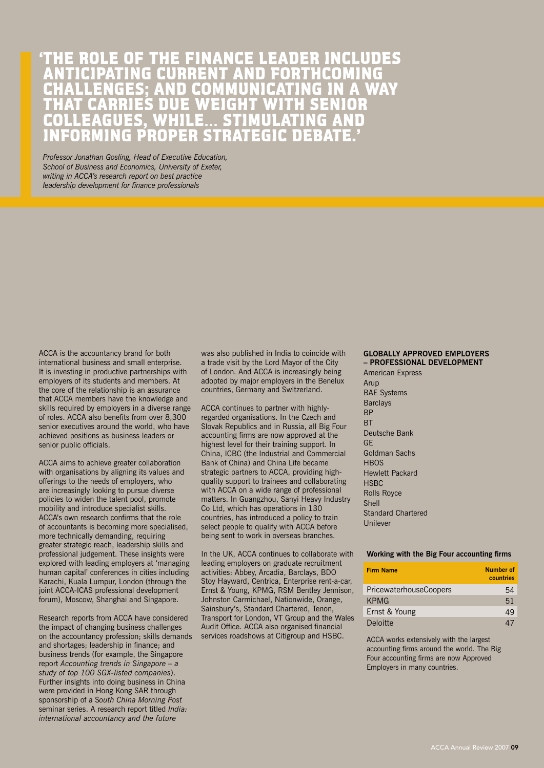# 'THE ROLE OF THE FINANCE LEADER INCLUDES ANTICIPATING CURRENT AND FORTHCOMING CHALLENGES; AND COMMUNICATING IN A WAY THAT CARRIES DUE WEIGHT WITH SENIOR COLLEAGUES, WHILE… STIMULATING AND INFORMING PROPER STRATEGIC DEBATE.'

*Professor Jonathan Gosling, Head of Executive Education, School of Business and Economics, University of Exeter, writing in ACCA's research report on best practice leadership development for finance professionals*

ACCA is the accountancy brand for both international business and small enterprise. It is investing in productive partnerships with employers of its students and members. At the core of the relationship is an assurance that ACCA members have the knowledge and skills required by employers in a diverse range of roles. ACCA also benefits from over 8,300 senior executives around the world, who have achieved positions as business leaders or senior public officials.

ACCA aims to achieve greater collaboration with organisations by aligning its values and offerings to the needs of employers, who are increasingly looking to pursue diverse policies to widen the talent pool, promote mobility and introduce specialist skills. ACCA's own research confirms that the role of accountants is becoming more specialised, more technically demanding, requiring greater strategic reach, leadership skills and professional judgement. These insights were explored with leading employers at 'managing human capital' conferences in cities including Karachi, Kuala Lumpur, London (through the joint ACCA-ICAS professional development forum), Moscow, Shanghai and Singapore.

Research reports from ACCA have considered the impact of changing business challenges on the accountancy profession; skills demands and shortages; leadership in finance; and business trends (for example, the Singapore report *Accounting trends in Singapore – a study of top 100 SGX-listed companies*). Further insights into doing business in China were provided in Hong Kong SAR through sponsorship of a S*outh China Morning Post* seminar series. A research report titled *India: international accountancy and the future*

was also published in India to coincide with a trade visit by the Lord Mayor of the City of London. And ACCA is increasingly being adopted by major employers in the Benelux countries, Germany and Switzerland.

ACCA continues to partner with highlyregarded organisations. In the Czech and Slovak Republics and in Russia, all Big Four accounting firms are now approved at the highest level for their training support. In China, ICBC (the Industrial and Commercial Bank of China) and China Life became strategic partners to ACCA, providing highquality support to trainees and collaborating with ACCA on a wide range of professional matters. In Guangzhou, Sanyi Heavy Industry Co Ltd, which has operations in 130 countries, has introduced a policy to train select people to qualify with ACCA before being sent to work in overseas branches.

In the UK, ACCA continues to collaborate with leading employers on graduate recruitment activities: Abbey, Arcadia, Barclays, BDO Stoy Hayward, Centrica, Enterprise rent-a-car, Ernst & Young, KPMG, RSM Bentley Jennison, Johnston Carmichael, Nationwide, Orange, Sainsbury's, Standard Chartered, Tenon, Transport for London, VT Group and the Wales Audit Office. ACCA also organised financial services roadshows at Citigroup and HSBC.

### **Globally approved employers – professional development**

American Express Arup BAE Systems Barclays BP **RT** Deutsche Bank GE Goldman Sachs **HBOS** Hewlett Packard **HSBC** Rolls Royce Shell Standard Chartered Unilever

### **Working with the Big Four accounting firms**

| <b>Firm Name</b>              | Number of<br>countries |
|-------------------------------|------------------------|
| <b>PricewaterhouseCoopers</b> | 54                     |
| <b>KPMG</b>                   | 51                     |
| Ernst & Young                 | 49                     |
| Deloitte                      | 41                     |

ACCA works extensively with the largest accounting firms around the world. The Big Four accounting firms are now Approved Employers in many countries.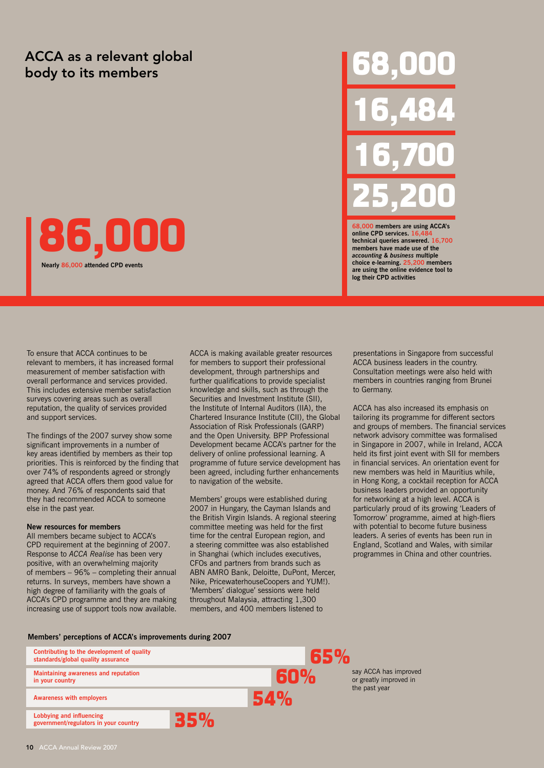# ACCA as a relevant global and the set of the set of the set of the set of the set of the set of the set of the<br>body to its members and the set of the set of the set of the set of the set of the set of the set of the set o

# 86,000

**Nearly 86,000 attended CPD events**

To ensure that ACCA continues to be relevant to members, it has increased formal measurement of member satisfaction with overall performance and services provided. This includes extensive member satisfaction surveys covering areas such as overall reputation, the quality of services provided

The findings of the 2007 survey show some significant improvements in a number of key areas identified by members as their top

over 74% of respondents agreed or strongly agreed that ACCA offers them good value for money. And 76% of respondents said that they had recommended ACCA to someone

and support services.

else in the past year.

**New resources for members**

All members became subject to ACCA's CPD requirement at the beginning of 2007. Response to *ACCA Realise* has been very positive, with an overwhelming majority of members – 96% – completing their annual returns. In surveys, members have shown a high degree of familiarity with the goals of ACCA's CPD programme and they are making increasing use of support tools now available.

priorities. This is reinforced by the finding that ACCA is making available greater resources for members to support their professional development, through partnerships and further qualifications to provide specialist knowledge and skills, such as through the Securities and Investment Institute (SII), the Institute of Internal Auditors (IIA), the Chartered Insurance Institute (CII), the Global Association of Risk Professionals (GARP) and the Open University. BPP Professional Development became ACCA's partner for the delivery of online professional learning. A programme of future service development has been agreed, including further enhancements to navigation of the website.

> Members' groups were established during 2007 in Hungary, the Cayman Islands and the British Virgin Islands. A regional steering committee meeting was held for the first time for the central European region, and a steering committee was also established in Shanghai (which includes executives, CFOs and partners from brands such as ABN AMRO Bank, Deloitte, DuPont, Mercer, Nike, PricewaterhouseCoopers and YUM!). 'Members' dialogue' sessions were held throughout Malaysia, attracting 1,300 members, and 400 members listened to

presentations in Singapore from successful ACCA business leaders in the country. Consultation meetings were also held with members in countries ranging from Brunei to Germany.

16,484

16,700

25,200

**technical queries answered. 16,700 members have made use of the**  *accounting & business* **multiple choice e-learning. 25,200 members are using the online evidence tool to** 

**online CPD services. 1** 

**log their CPD activities**

**0** members are using ACCA's

ACCA has also increased its emphasis on tailoring its programme for different sectors and groups of members. The financial services network advisory committee was formalised in Singapore in 2007, while in Ireland, ACCA held its first joint event with SII for members in financial services. An orientation event for new members was held in Mauritius while, in Hong Kong, a cocktail reception for ACCA business leaders provided an opportunity for networking at a high level. ACCA is particularly proud of its growing 'Leaders of Tomorrow' programme, aimed at high-fliers with potential to become future business leaders. A series of events has been run in England, Scotland and Wales, with similar programmes in China and other countries.

### **Members' perceptions of ACCA's improvements during 2007**

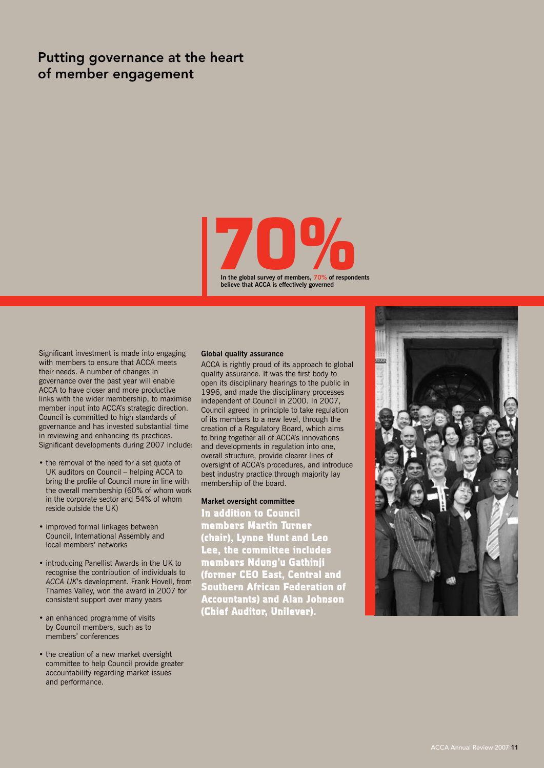# Putting governance at the heart of member engagement



Significant investment is made into engaging with members to ensure that ACCA meets their needs. A number of changes in governance over the past year will enable ACCA to have closer and more productive links with the wider membership, to maximise member input into ACCA's strategic direction. Council is committed to high standards of governance and has invested substantial time in reviewing and enhancing its practices. Significant developments during 2007 include:

- the removal of the need for a set quota of UK auditors on Council – helping ACCA to bring the profile of Council more in line with the overall membership (60% of whom work in the corporate sector and 54% of whom reside outside the UK)
- improved formal linkages between Council, International Assembly and local members' networks
- introducing Panellist Awards in the UK to recognise the contribution of individuals to *ACCA UK*'s development. Frank Hovell, from Thames Valley, won the award in 2007 for consistent support over many years
- an enhanced programme of visits by Council members, such as to members' conferences
- the creation of a new market oversight committee to help Council provide greater accountability regarding market issues and performance.

### **Global quality assurance**

ACCA is rightly proud of its approach to global quality assurance. It was the first body to open its disciplinary hearings to the public in 1996, and made the disciplinary processes independent of Council in 2000. In 2007, Council agreed in principle to take regulation of its members to a new level, through the creation of a Regulatory Board, which aims to bring together all of ACCA's innovations and developments in regulation into one, overall structure, provide clearer lines of oversight of ACCA's procedures, and introduce best industry practice through majority lay membership of the board.

### **Market oversight committee**

In addition to Council members Martin Turner (chair), Lynne Hunt and Leo Lee, the committee includes members Ndung'u Gathinji (former CEO East, Central and Southern African Federation of Accountants) and Alan Johnson (Chief Auditor, Unilever).

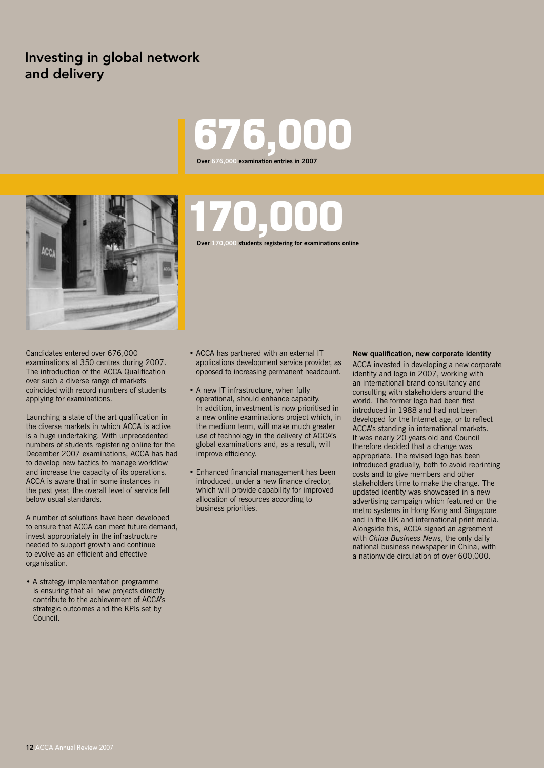# Investing in global network and delivery

# 676,000 **Over 676,000 examination entries in 2007**



Candidates entered over 676,000 examinations at 350 centres during 2007. The introduction of the ACCA Qualification over such a diverse range of markets coincided with record numbers of students applying for examinations.

Launching a state of the art qualification in the diverse markets in which ACCA is active is a huge undertaking. With unprecedented numbers of students registering online for the December 2007 examinations, ACCA has had to develop new tactics to manage workflow and increase the capacity of its operations. ACCA is aware that in some instances in the past year, the overall level of service fell below usual standards.

A number of solutions have been developed to ensure that ACCA can meet future demand, invest appropriately in the infrastructure needed to support growth and continue to evolve as an efficient and effective organisation.

• A strategy implementation programme is ensuring that all new projects directly contribute to the achievement of ACCA's strategic outcomes and the KPIs set by Council.

# 170,000 **Over 170,000 students registering for examinations online**

• ACCA has partnered with an external IT applications development service provider, as opposed to increasing permanent headcount.

- A new IT infrastructure, when fully operational, should enhance capacity. In addition, investment is now prioritised in a new online examinations project which, in the medium term, will make much greater use of technology in the delivery of ACCA's global examinations and, as a result, will improve efficiency.
- Enhanced financial management has been introduced, under a new finance director, which will provide capability for improved allocation of resources according to business priorities.

### **New qualification, new corporate identity**

ACCA invested in developing a new corporate identity and logo in 2007, working with an international brand consultancy and consulting with stakeholders around the world. The former logo had been first introduced in 1988 and had not been developed for the Internet age, or to reflect ACCA's standing in international markets. It was nearly 20 years old and Council therefore decided that a change was appropriate. The revised logo has been introduced gradually, both to avoid reprinting costs and to give members and other stakeholders time to make the change. The updated identity was showcased in a new advertising campaign which featured on the metro systems in Hong Kong and Singapore and in the UK and international print media. Alongside this, ACCA signed an agreement with *China Business News*, the only daily national business newspaper in China, with a nationwide circulation of over 600,000.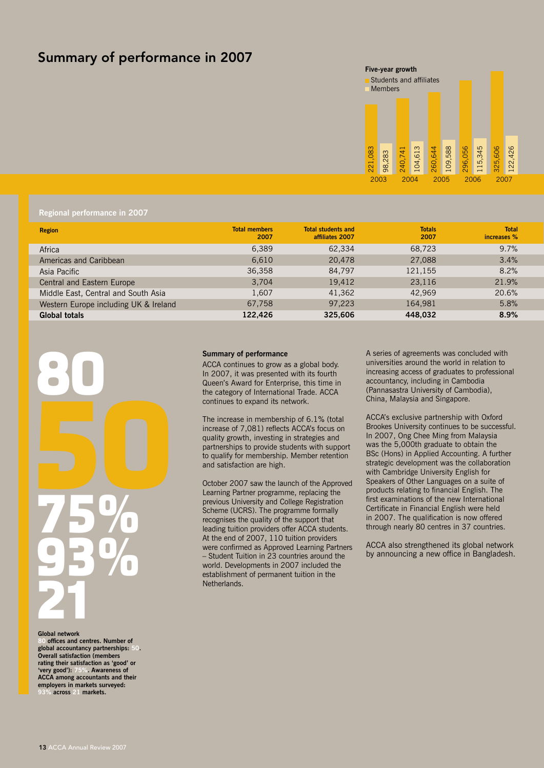# Summary of performance in 2007

### **Five-year growth**



### **Regional performance in 2007**

| <b>Region</b>                         | <b>Total members</b><br>2007 | <b>Total students and</b><br>affiliates 2007 | <b>Totals</b><br>2007 | <b>Total</b><br>increases % |
|---------------------------------------|------------------------------|----------------------------------------------|-----------------------|-----------------------------|
| Africa                                | 6,389                        | 62,334                                       | 68,723                | 9.7%                        |
| Americas and Caribbean                | 6,610                        | 20,478                                       | 27,088                | 3.4%                        |
| Asia Pacific                          | 36,358                       | 84,797                                       | 121,155               | 8.2%                        |
| Central and Eastern Europe            | 3,704                        | 19,412                                       | 23,116                | 21.9%                       |
| Middle East, Central and South Asia   | 1.607                        | 41,362                                       | 42.969                | 20.6%                       |
| Western Europe including UK & Ireland | 67,758                       | 97,223                                       | 164.981               | 5.8%                        |
| <b>Global totals</b>                  | 122.426                      | 325,606                                      | 448.032               | 8.9%                        |



#### **Global network**

**80 offices and centres. Number of global accountancy partnerships: 50. Overall satisfaction (members rating their satisfaction as 'good' or 'very good'): 75%. Awareness of ACCA among accountants and their employers in markets surveyed: 93% across 21 markets.**

#### **Summary of performance**

ACCA continues to grow as a global body. In 2007, it was presented with its fourth Queen's Award for Enterprise, this time in the category of International Trade. ACCA continues to expand its network.

The increase in membership of 6.1% (total increase of 7,081) reflects ACCA's focus on quality growth, investing in strategies and partnerships to provide students with support to qualify for membership. Member retention and satisfaction are high.

October 2007 saw the launch of the Approved Learning Partner programme, replacing the previous University and College Registration Scheme (UCRS). The programme formally recognises the quality of the support that leading tuition providers offer ACCA students. At the end of 2007, 110 tuition providers were confirmed as Approved Learning Partners – Student Tuition in 23 countries around the world. Developments in 2007 included the establishment of permanent tuition in the Netherlands.

A series of agreements was concluded with universities around the world in relation to increasing access of graduates to professional accountancy, including in Cambodia (Pannasastra University of Cambodia), China, Malaysia and Singapore.

ACCA's exclusive partnership with Oxford Brookes University continues to be successful. In 2007, Ong Chee Ming from Malaysia was the 5,000th graduate to obtain the BSc (Hons) in Applied Accounting. A further strategic development was the collaboration with Cambridge University English for Speakers of Other Languages on a suite of products relating to financial English. The first examinations of the new International Certificate in Financial English were held in 2007. The qualification is now offered through nearly 80 centres in 37 countries.

ACCA also strengthened its global network by announcing a new office in Bangladesh.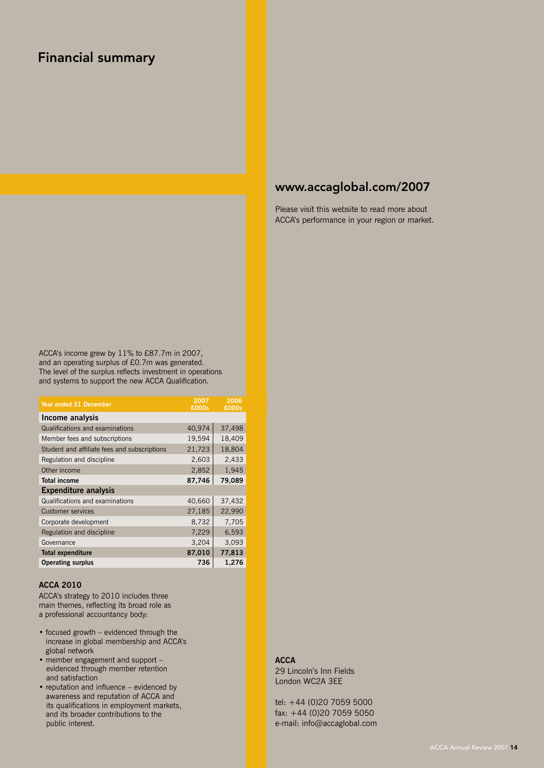# Financial summary

# www.accaglobal.com/2007

Please visit this website to read more about ACCA's performance in your region or market.

ACCA's income grew by 11% to £87.7m in 2007, and an operating surplus of £0.7m was generated. The level of the surplus reflects investment in operations and systems to support the new ACCA Qualification.

| Year ended 31 December                       | 2007<br>£000s | 2006<br>£000s |
|----------------------------------------------|---------------|---------------|
| Income analysis                              |               |               |
| Qualifications and examinations              | 40,974        | 37,498        |
| Member fees and subscriptions                | 19,594        | 18,409        |
| Student and affiliate fees and subscriptions | 21,723        | 18,804        |
| Regulation and discipline                    | 2,603         | 2,433         |
| Other income                                 | 2,852         | 1,945         |
| <b>Total income</b>                          | 87,746        | 79,089        |
| <b>Expenditure analysis</b>                  |               |               |
| Qualifications and examinations              | 40,660        | 37,432        |
| <b>Customer services</b>                     | 27,185        | 22,990        |
| Corporate development                        | 8,732         | 7,705         |
| Regulation and discipline                    | 7,229         | 6,593         |
| Governance                                   | 3,204         | 3,093         |
| <b>Total expenditure</b>                     | 87,010        | 77,813        |
| <b>Operating surplus</b>                     | 736           | 1,276         |

### **ACCA 2010**

ACCA's strategy to 2010 includes three main themes, reflecting its broad role as a professional accountancy body:

- focused growth evidenced through the increase in global membership and ACCA's global network
- member engagement and support evidenced through member retention and satisfaction
- reputation and influence evidenced by awareness and reputation of ACCA and its qualifications in employment markets, and its broader contributions to the public interest.

### **ACCA**

29 Lincoln's Inn Fields London WC2A 3EE

tel: +44 (0)20 7059 5000 fax: +44 (0)20 7059 5050 e-mail: info@accaglobal.com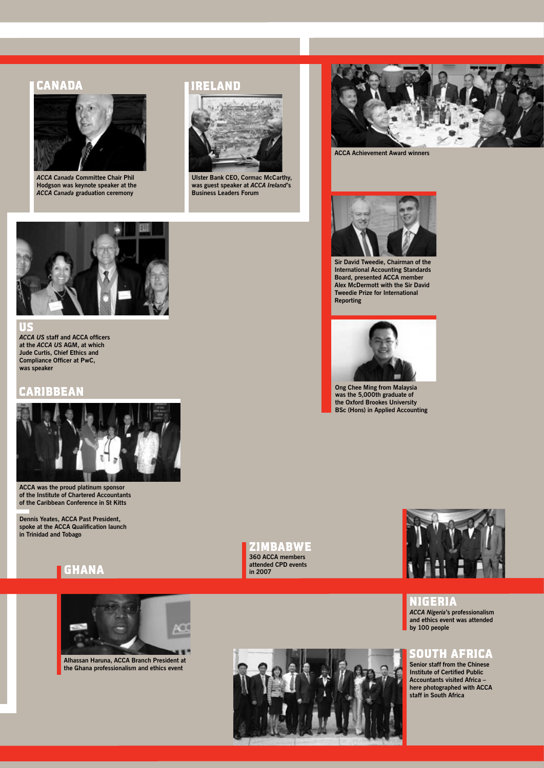### CANADA



*ACCA Canada* **Committee Chair Phil Hodgson was keynote speaker at the**  *ACCA Canada* **graduation ceremony** 

### IRELAND



**Ulster Bank CEO, Cormac McCarthy, was guest speaker at** *ACCA Ireland***'s Business Leaders Forum** 



**ACCA Achievement Award winners**



**Sir David Tweedie, Chairman of the International Accounting Standards Board, presented ACCA member Alex McDermott with the Sir David Tweedie Prize for International Reporting** 



**Ong Chee Ming from Malaysia was the 5,000th graduate of the Oxford Brookes University BSc (Hons) in Applied Accounting** 



*ACCA US* **staff and ACCA officers at the** *ACCA US* **AGM, at which Jude Curtis, Chief Ethics and Compliance Officer at PwC, was speaker** US

### CARIBBEAN



**ACCA was the proud platinum sponsor of the Institute of Chartered Accountants of the Caribbean Conference in St Kitts** 

**Dennis Yeates, ACCA Past President, spoke at the ACCA Qualification launch in Trinidad and Tobago**





**Alhassan Haruna, ACCA Branch President at the Ghana professionalism and ethics event** 

**ZIMBABWE 360 ACCA members attended CPD events in 2007**



NIGERIA

*ACCA Nigeria***'s professionalism and ethics event was attended by 100 people**

# SOUTH AFRICA

**Senior staff from the Chinese Institute of Certified Public Accountants visited Africa – here photographed with ACCA staff in South Africa**